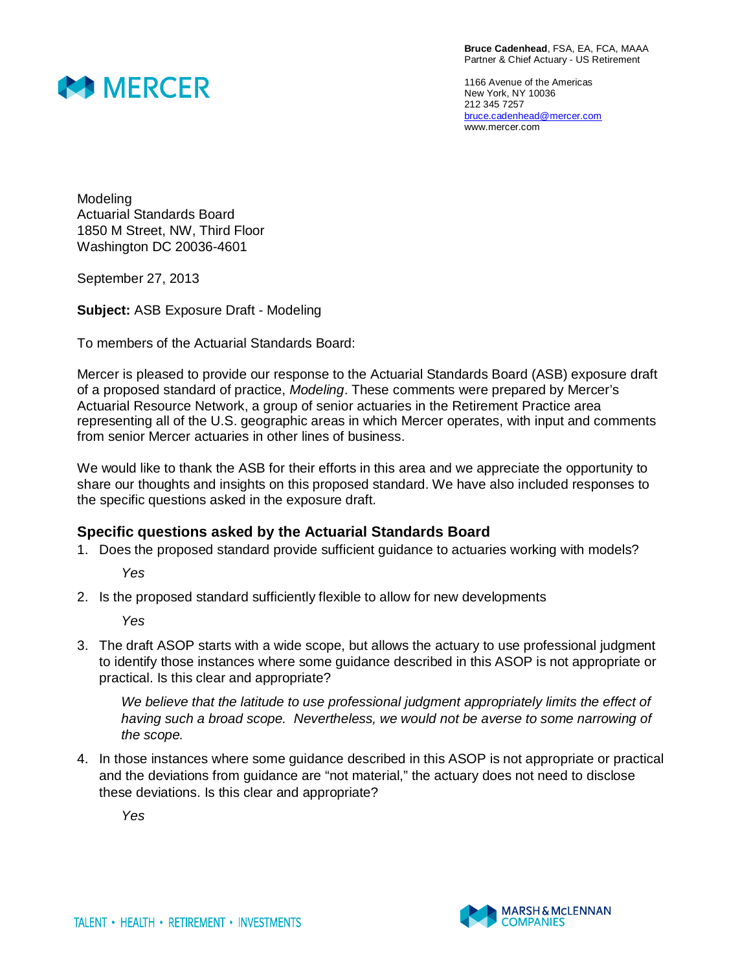

**Bruce Cadenhead**, FSA, EA, FCA, MAAA Partner & Chief Actuary - US Retirement

1166 Avenue of the Americas New York, NY 10036 212 345 7257 bruce.cadenhead@mercer.com www.mercer.com

Modeling Actuarial Standards Board 1850 M Street, NW, Third Floor Washington DC 20036-4601

September 27, 2013

**Subject:** ASB Exposure Draft - Modeling

To members of the Actuarial Standards Board:

Mercer is pleased to provide our response to the Actuarial Standards Board (ASB) exposure draft of a proposed standard of practice, *Modeling*. These comments were prepared by Mercer's Actuarial Resource Network, a group of senior actuaries in the Retirement Practice area representing all of the U.S. geographic areas in which Mercer operates, with input and comments from senior Mercer actuaries in other lines of business.

We would like to thank the ASB for their efforts in this area and we appreciate the opportunity to share our thoughts and insights on this proposed standard. We have also included responses to the specific questions asked in the exposure draft.

# **Specific questions asked by the Actuarial Standards Board**

1. Does the proposed standard provide sufficient guidance to actuaries working with models?

*Yes*

2. Is the proposed standard sufficiently flexible to allow for new developments

*Yes*

3. The draft ASOP starts with a wide scope, but allows the actuary to use professional judgment to identify those instances where some guidance described in this ASOP is not appropriate or practical. Is this clear and appropriate?

*We believe that the latitude to use professional judgment appropriately limits the effect of having such a broad scope. Nevertheless, we would not be averse to some narrowing of the scope.*

4. In those instances where some guidance described in this ASOP is not appropriate or practical and the deviations from guidance are "not material," the actuary does not need to disclose these deviations. Is this clear and appropriate?

*Yes*

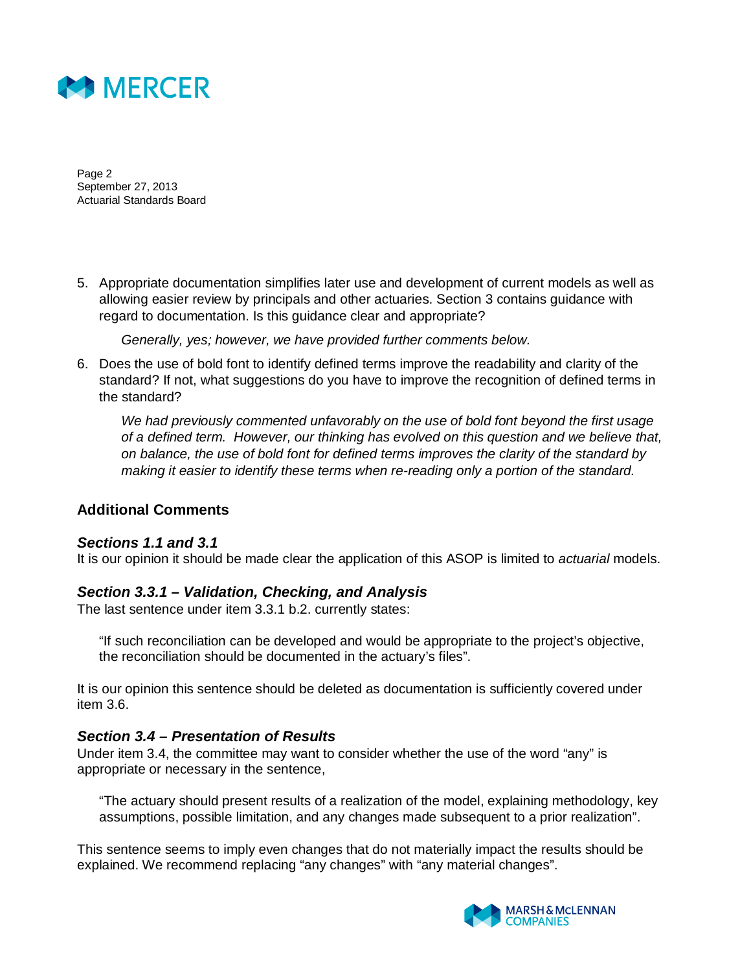

Page 2 September 27, 2013 Actuarial Standards Board

5. Appropriate documentation simplifies later use and development of current models as well as allowing easier review by principals and other actuaries. Section 3 contains guidance with regard to documentation. Is this guidance clear and appropriate?

*Generally, yes; however, we have provided further comments below.*

6. Does the use of bold font to identify defined terms improve the readability and clarity of the standard? If not, what suggestions do you have to improve the recognition of defined terms in the standard?

*We had previously commented unfavorably on the use of bold font beyond the first usage of a defined term. However, our thinking has evolved on this question and we believe that, on balance, the use of bold font for defined terms improves the clarity of the standard by making it easier to identify these terms when re-reading only a portion of the standard.*

## **Additional Comments**

#### *Sections 1.1 and 3.1*

It is our opinion it should be made clear the application of this ASOP is limited to *actuarial* models.

#### *Section 3.3.1 – Validation, Checking, and Analysis*

The last sentence under item 3.3.1 b.2. currently states:

"If such reconciliation can be developed and would be appropriate to the project's objective, the reconciliation should be documented in the actuary's files".

It is our opinion this sentence should be deleted as documentation is sufficiently covered under item 3.6.

### *Section 3.4 – Presentation of Results*

Under item 3.4, the committee may want to consider whether the use of the word "any" is appropriate or necessary in the sentence,

"The actuary should present results of a realization of the model, explaining methodology, key assumptions, possible limitation, and any changes made subsequent to a prior realization".

This sentence seems to imply even changes that do not materially impact the results should be explained. We recommend replacing "any changes" with "any material changes".